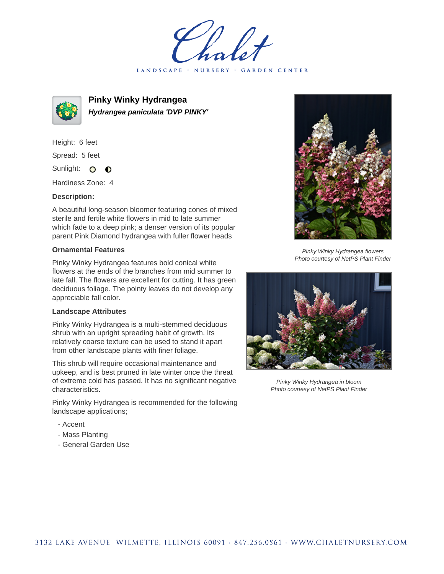LANDSCAPE · NURSERY · GARDEN CENTER



**Pinky Winky Hydrangea Hydrangea paniculata 'DVP PINKY'**

Height: 6 feet Spread: 5 feet Sunlight: O  $\bullet$ 

Hardiness Zone: 4

## **Description:**

A beautiful long-season bloomer featuring cones of mixed sterile and fertile white flowers in mid to late summer which fade to a deep pink; a denser version of its popular parent Pink Diamond hydrangea with fuller flower heads

## **Ornamental Features**

Pinky Winky Hydrangea features bold conical white flowers at the ends of the branches from mid summer to late fall. The flowers are excellent for cutting. It has green deciduous foliage. The pointy leaves do not develop any appreciable fall color.

## **Landscape Attributes**

Pinky Winky Hydrangea is a multi-stemmed deciduous shrub with an upright spreading habit of growth. Its relatively coarse texture can be used to stand it apart from other landscape plants with finer foliage.

This shrub will require occasional maintenance and upkeep, and is best pruned in late winter once the threat of extreme cold has passed. It has no significant negative characteristics.

Pinky Winky Hydrangea is recommended for the following landscape applications;

- Accent
- Mass Planting
- General Garden Use



Pinky Winky Hydrangea flowers Photo courtesy of NetPS Plant Finder



Pinky Winky Hydrangea in bloom Photo courtesy of NetPS Plant Finder